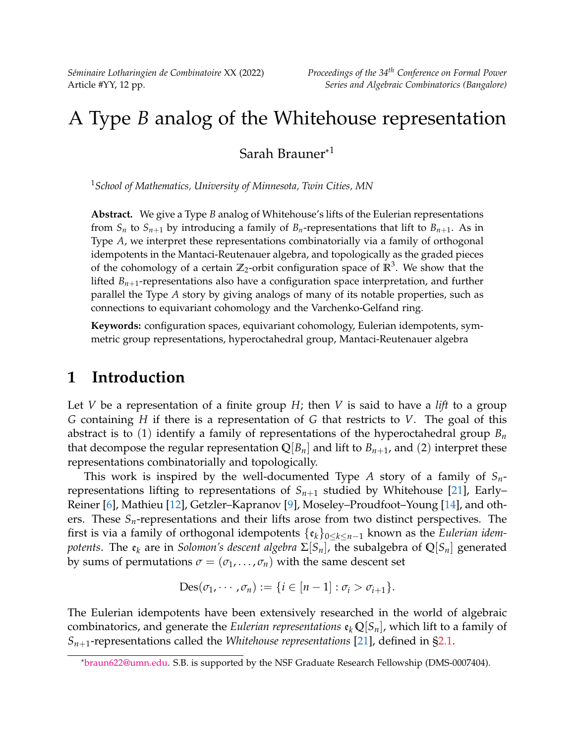*Séminaire Lotharingien de Combinatoire* XX (2022) *Proceedings of the 34th Conference on Formal Power*

# A Type *B* analog of the Whitehouse representation

Sarah Brauner\* 1

<sup>1</sup>*School of Mathematics, University of Minnesota, Twin Cities, MN*

**Abstract.** We give a Type *B* analog of Whitehouse's lifts of the Eulerian representations from  $S_n$  to  $S_{n+1}$  by introducing a family of  $B_n$ -representations that lift to  $B_{n+1}$ . As in Type *A*, we interpret these representations combinatorially via a family of orthogonal idempotents in the Mantaci-Reutenauer algebra, and topologically as the graded pieces of the cohomology of a certain  $\mathbb{Z}_2$ -orbit configuration space of  $\mathbb{R}^3$ . We show that the lifted *Bn*+1-representations also have a configuration space interpretation, and further parallel the Type *A* story by giving analogs of many of its notable properties, such as connections to equivariant cohomology and the Varchenko-Gelfand ring.

**Keywords:** configuration spaces, equivariant cohomology, Eulerian idempotents, symmetric group representations, hyperoctahedral group, Mantaci-Reutenauer algebra

# **1 Introduction**

Let *V* be a representation of a finite group *H*; then *V* is said to have a *lift* to a group *G* containing *H* if there is a representation of *G* that restricts to *V*. The goal of this abstract is to (1) identify a family of representations of the hyperoctahedral group *B<sup>n</sup>* that decompose the regular representation  $\mathbb{Q}[B_n]$  and lift to  $B_{n+1}$ , and (2) interpret these representations combinatorially and topologically.

This work is inspired by the well-documented Type *A* story of a family of *Sn*representations lifting to representations of  $S_{n+1}$  studied by Whitehouse [\[21\]](#page-11-0), Early– Reiner [\[6\]](#page-10-0), Mathieu [\[12\]](#page-11-1), Getzler–Kapranov [\[9\]](#page-11-2), Moseley–Proudfoot–Young [\[14\]](#page-11-3), and others. These *Sn*-representations and their lifts arose from two distinct perspectives. The first is via a family of orthogonal idempotents {e*k*}0≤*k*≤*n*−<sup>1</sup> known as the *Eulerian idempotents*. The  $e_k$  are in *Solomon's descent algebra*  $\Sigma[S_n]$ , the subalgebra of  $\mathbb{Q}[S_n]$  generated by sums of permutations  $\sigma = (\sigma_1, \ldots, \sigma_n)$  with the same descent set

$$
Des(\sigma_1, \cdots, \sigma_n) := \{i \in [n-1] : \sigma_i > \sigma_{i+1}\}.
$$

The Eulerian idempotents have been extensively researched in the world of algebraic combinatorics, and generate the *Eulerian representations*  $\mathfrak{e}_k \mathbb{Q}[S_n]$ , which lift to a family of  $S_{n+1}$ -representations called the *Whitehouse representations* [\[21\]](#page-11-0), defined in [§2.1.](#page-2-0)

<sup>\*</sup>[braun622@umn.edu.](mailto:braun622@umn.edu) S.B. is supported by the NSF Graduate Research Fellowship (DMS-0007404).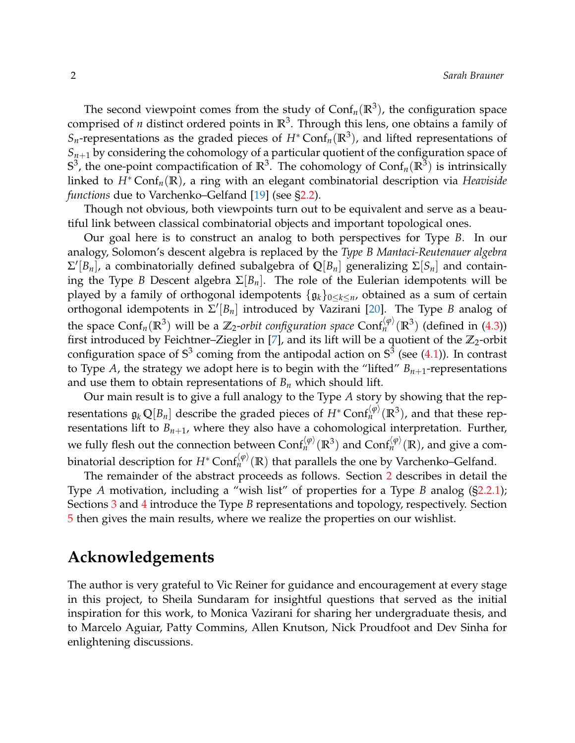The second viewpoint comes from the study of  $\text{Conf}_n(\mathbb{R}^3)$ , the configuration space comprised of *n* distinct ordered points in **R**<sup>3</sup> . Through this lens, one obtains a family of *Sn*-representations as the graded pieces of *H*<sup>∗</sup> Conf*n*(**R**<sup>3</sup> ), and lifted representations of  $S_{n+1}$  by considering the cohomology of a particular quotient of the configuration space of  $\mathbb{S}^3$ , the one-point compactification of  $\mathbb{R}^3$ . The cohomology of  $\mathsf{Conf}_n(\mathbb{R}^3)$  is intrinsically linked to *H*<sup>∗</sup> Conf*n*(**R**), a ring with an elegant combinatorial description via *Heaviside functions* due to Varchenko–Gelfand [\[19\]](#page-11-4) (see [§2.2\)](#page-2-1).

Though not obvious, both viewpoints turn out to be equivalent and serve as a beautiful link between classical combinatorial objects and important topological ones.

Our goal here is to construct an analog to both perspectives for Type *B*. In our analogy, Solomon's descent algebra is replaced by the *Type B Mantaci-Reutenauer algebra*  $\Sigma'[B_n]$ , a combinatorially defined subalgebra of  $\mathbb{Q}[B_n]$  generalizing  $\Sigma[S_n]$  and containing the Type *B* Descent algebra  $\Sigma[B_n]$ . The role of the Eulerian idempotents will be played by a family of orthogonal idempotents {g*k*}0≤*k*≤*n*, obtained as a sum of certain orthogonal idempotents in Σ 0 [*Bn*] introduced by Vazirani [\[20\]](#page-11-5). The Type *B* analog of the space Conf<sub>*n*</sub>( $\mathbb{R}^3$ ) will be a  $\mathbb{Z}_2$ -*orbit configuration space* Conf<sup> $\binom{\varphi}{n}$ ( $\mathbb{R}^3$ ) (defined in [\(4.3\)](#page-8-0))</sup> first introduced by Feichtner–Ziegler in [\[7\]](#page-11-6), and its lift will be a quotient of the  $\mathbb{Z}_2$ -orbit configuration space of  $\mathbb{S}^3$  coming from the antipodal action on  $\mathbb{S}^3$  (see [\(4.1\)](#page-7-0)). In contrast to Type *A*, the strategy we adopt here is to begin with the "lifted"  $B_{n+1}$ -representations and use them to obtain representations of  $B_n$  which should lift.

Our main result is to give a full analogy to the Type *A* story by showing that the representations  $\mathfrak{g}_k\,\mathbb{Q}[B_n]$  describe the graded pieces of  $H^*\text{Conf}_n^{(\phi)}(\mathbb{R}^3)$ , and that these representations lift to  $B_{n+1}$ , where they also have a cohomological interpretation. Further, we fully flesh out the connection between  $\text{Conf}_n^{\langle\phi\rangle}(\mathbb{R}^3)$  and  $\text{Conf}_n^{\langle\phi\rangle}(\mathbb{R})$ , and give a combinatorial description for  $H^* \text{Conf}_n^{\langle \phi \rangle}(\mathbb{R})$  that parallels the one by Varchenko–Gelfand.

The remainder of the abstract proceeds as follows. Section [2](#page-2-2) describes in detail the Type *A* motivation, including a "wish list" of properties for a Type *B* analog ([§2.2.1\)](#page-5-0); Sections [3](#page-6-0) and [4](#page-7-1) introduce the Type *B* representations and topology, respectively. Section [5](#page-9-0) then gives the main results, where we realize the properties on our wishlist.

# **Acknowledgements**

The author is very grateful to Vic Reiner for guidance and encouragement at every stage in this project, to Sheila Sundaram for insightful questions that served as the initial inspiration for this work, to Monica Vazirani for sharing her undergraduate thesis, and to Marcelo Aguiar, Patty Commins, Allen Knutson, Nick Proudfoot and Dev Sinha for enlightening discussions.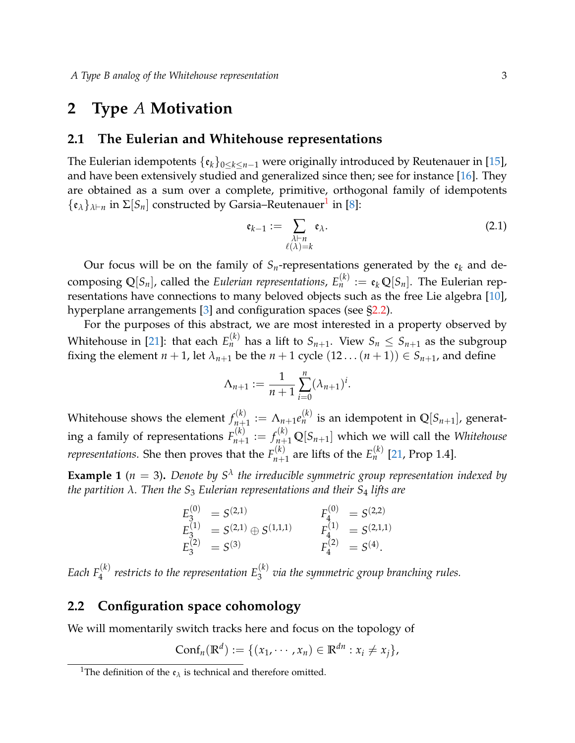### <span id="page-2-2"></span>**2 Type** *A* **Motivation**

#### <span id="page-2-0"></span>**2.1 The Eulerian and Whitehouse representations**

The Eulerian idempotents  $\{\varepsilon_k\}_{0\leq k\leq n-1}$  were originally introduced by Reutenauer in [\[15\]](#page-11-7), and have been extensively studied and generalized since then; see for instance [\[16\]](#page-11-8). They are obtained as a sum over a complete, primitive, orthogonal family of idempotents  $\{\mathfrak{e}_{\lambda}\}_{\lambda\vdash n}$  in  $\Sigma[S_n]$  constructed by Garsia–Reutenauer<sup>[1](#page-2-3)</sup> in [\[8\]](#page-11-9):

$$
\mathfrak{e}_{k-1} := \sum_{\substack{\lambda \vdash n \\ \ell(\lambda) = k}} \mathfrak{e}_{\lambda}.\tag{2.1}
$$

Our focus will be on the family of  $S_n$ -representations generated by the  $\mathfrak{e}_k$  and decomposing  $\mathbb{Q}[S_n]$ , called the *Eulerian representations,*  $E_n^{(k)} := \mathfrak{e}_k \mathbb{Q}[S_n]$ *. The Eulerian rep*resentations have connections to many beloved objects such as the free Lie algebra [\[10\]](#page-11-10), hyperplane arrangements [\[3\]](#page-10-1) and configuration spaces (see [§2.2\)](#page-2-1).

For the purposes of this abstract, we are most interested in a property observed by Whitehouse in [\[21\]](#page-11-0): that each  $E_n^{(k)}$  has a lift to  $S_{n+1}.$  View  $S_n \leq S_{n+1}$  as the subgroup fixing the element  $n + 1$ , let  $\lambda_{n+1}$  be the  $n + 1$  cycle  $(12 \dots (n+1)) \in S_{n+1}$ , and define

$$
\Lambda_{n+1} := \frac{1}{n+1} \sum_{i=0}^{n} (\lambda_{n+1})^i.
$$

Whitehouse shows the element  $f_{n+1}^{(k)}$  $\Lambda_{n+1}^{(k)} := \Lambda_{n+1} e_n^{(k)}$  is an idempotent in  $\mathbb{Q}[S_{n+1}]$ , generating a family of representations  $F_{n+}^{(k)}$  $f_{n+1}^{(k)} := f_{n+1}^{(k)} \mathbb{Q}[S_{n+1}]$  which we will call the *Whitehouse representations*. She then proves that the  $F_{n+1}^{(k)}$  $E_{n+1}^{(k)}$  are lifts of the  $E_n^{(k)}$  [\[21,](#page-11-0) Prop 1.4].

**Example 1** ( $n = 3$ ). Denote by  $S^{\lambda}$  the irreducible symmetric group representation indexed by *the partition λ. Then the S*<sup>3</sup> *Eulerian representations and their S*<sup>4</sup> *lifts are*

$$
E_3^{(0)} = S^{(2,1)} \nE_3^{(1)} = S^{(2,1)} \oplus S^{(1,1,1)} \nE_4^{(0)} = S^{(2,2)} \nE_3^{(2)} = S^{(3)} \nE_4^{(2)} = S^{(4)}.
$$

Each  $F_4^{(k)}$  restricts to the representation  $E_3^{(k)}$  via the symmetric group branching rules.

### <span id="page-2-1"></span>**2.2 Configuration space cohomology**

We will momentarily switch tracks here and focus on the topology of

$$
Conf_n(\mathbb{R}^d) := \{ (x_1, \cdots, x_n) \in \mathbb{R}^{dn} : x_i \neq x_j \},
$$

<span id="page-2-3"></span><sup>&</sup>lt;sup>1</sup>The definition of the  $\mathfrak{e}_{\lambda}$  is technical and therefore omitted.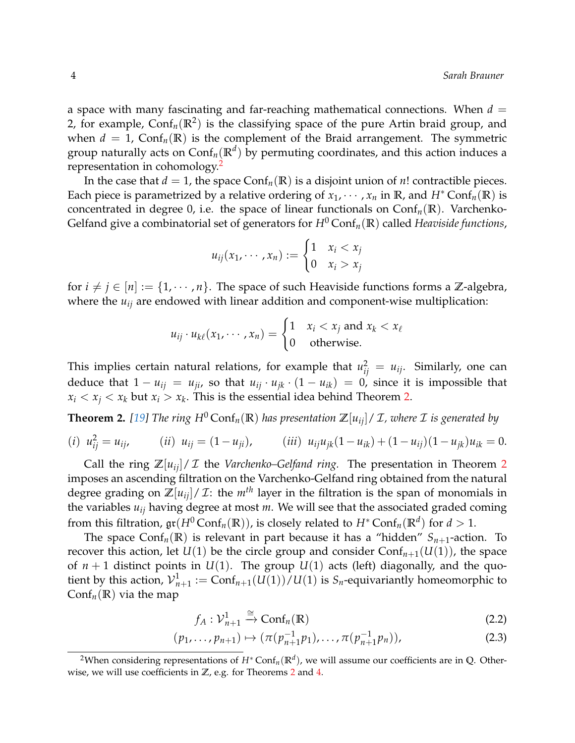a space with many fascinating and far-reaching mathematical connections. When  $d =$ 2, for example,  $\text{Conf}_n(\mathbb{R}^2)$  is the classifying space of the pure Artin braid group, and when  $d = 1$ , Conf<sub>n</sub>( $\mathbb{R}$ ) is the complement of the Braid arrangement. The symmetric group naturally acts on Conf*n*(**R***<sup>d</sup>* ) by permuting coordinates, and this action induces a representation in cohomology.<sup>[2](#page-3-0)</sup>

In the case that  $d = 1$ , the space  $Conf_n(\mathbb{R})$  is a disjoint union of *n*! contractible pieces. Each piece is parametrized by a relative ordering of  $x_1, \dots, x_n$  in **R**, and  $H^* \text{Conf}_n(\mathbb{R})$  is concentrated in degree 0, i.e. the space of linear functionals on  $\text{Conf}_n(\mathbb{R})$ . Varchenko-Gelfand give a combinatorial set of generators for  $H^0$  Conf<sub>n</sub>( $\mathbb{R}$ ) called *Heaviside functions*,

$$
u_{ij}(x_1,\dots,x_n):=\begin{cases}1 & x_i < x_j\\0 & x_i > x_j\end{cases}
$$

for  $i \neq j \in [n] := \{1, \dots, n\}$ . The space of such Heaviside functions forms a **Z**-algebra, where the  $u_{ij}$  are endowed with linear addition and component-wise multiplication:

$$
u_{ij} \cdot u_{k\ell}(x_1, \cdots, x_n) = \begin{cases} 1 & x_i < x_j \text{ and } x_k < x_\ell \\ 0 & \text{otherwise.} \end{cases}
$$

This implies certain natural relations, for example that  $u_{ij}^2 = u_{ij}$ . Similarly, one can deduce that  $1 - u_{ij} = u_{ji}$ , so that  $u_{ij} \cdot u_{jk} \cdot (1 - u_{ik}) = 0$ , since it is impossible that  $x_i < x_j < x_k$  but  $x_i > x_k$ . This is the essential idea behind Theorem [2.](#page-3-1)

<span id="page-3-1"></span>**Theorem 2.** [\[19\]](#page-11-4) The ring  $H^0$  Conf<sub>n</sub>(**R**) has presentation  $\mathbb{Z}[u_{ii}]/\mathcal{I}$ , where  $\mathcal{I}$  is generated by

$$
(i) \ \ u_{ij}^2 = u_{ij}, \qquad (ii) \ \ u_{ij} = (1 - u_{ji}), \qquad (iii) \ \ u_{ij}u_{jk}(1 - u_{ik}) + (1 - u_{ij})(1 - u_{jk})u_{ik} = 0.
$$

Call the ring  $\mathbb{Z}[u_{ij}]/\mathcal{I}$  the *Varchenko–Gelfand ring*. The presentation in Theorem [2](#page-3-1) imposes an ascending filtration on the Varchenko-Gelfand ring obtained from the natural degree grading on  $\mathbb{Z}[u_{ij}]/\mathcal{I}$ : the  $m^{th}$  layer in the filtration is the span of monomials in the variables *uij* having degree at most *m*. We will see that the associated graded coming from this filtration,  $\mathfrak{gr}(H^0\text{Conf}_n(\mathbb{R}))$ , is closely related to  $H^*\text{Conf}_n(\mathbb{R}^d)$  for  $d>1.$ 

The space  $\text{Conf}_n(\mathbb{R})$  is relevant in part because it has a "hidden"  $S_{n+1}$ -action. To recover this action, let  $U(1)$  be the circle group and consider  $\text{Conf}_{n+1}(U(1))$ , the space of  $n + 1$  distinct points in  $U(1)$ . The group  $U(1)$  acts (left) diagonally, and the quotient by this action,  $\mathcal{V}_{n+1}^1 := \text{Conf}_{n+1}(U(1))/U(1)$  is  $S_n$ -equivariantly homeomorphic to  $\text{Conf}_n(\mathbb{R})$  via the map

<span id="page-3-2"></span>
$$
f_A: \mathcal{V}_{n+1}^1 \xrightarrow{\cong} \text{Conf}_n(\mathbb{R})
$$
 (2.2)

$$
(p_1, \ldots, p_{n+1}) \mapsto (\pi(p_{n+1}^{-1}p_1), \ldots, \pi(p_{n+1}^{-1}p_n)), \tag{2.3}
$$

<span id="page-3-0"></span><sup>2</sup>When considering representations of *H*<sup>∗</sup> Conf*n*(**R***<sup>d</sup>* ), we will assume our coefficients are in **Q**. Otherwise, we will use coefficients in **Z**, e.g. for Theorems [2](#page-3-1) and [4.](#page-4-0)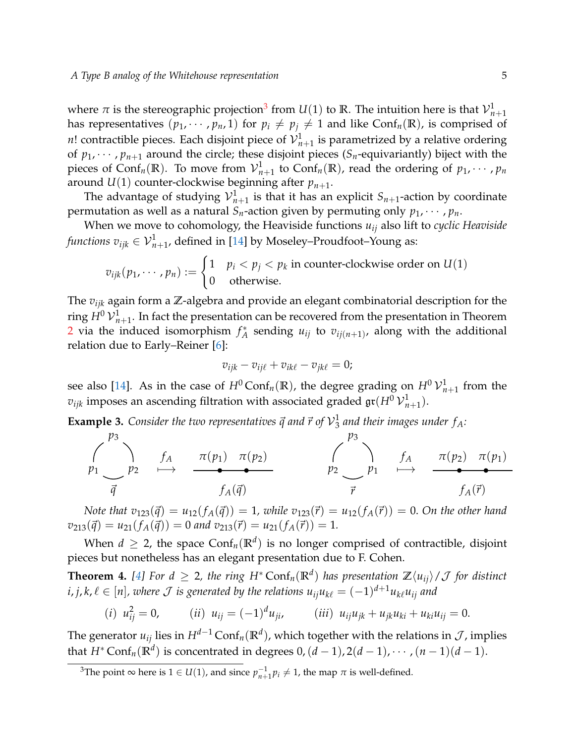where  $\pi$  is the stereographic projection<sup>[3](#page-4-1)</sup> from  $U(1)$  to  $\mathbb R.$  The intuition here is that  ${\mathcal V}_{n+1}^1$ has representatives  $(p_1, \dots, p_n, 1)$  for  $p_i \neq p_j \neq 1$  and like Conf<sub>n</sub>(**R**), is comprised of *n*! contractible pieces. Each disjoint piece of  ${\cal V}^1_{n+1}$  is parametrized by a relative ordering of  $p_1, \dots, p_{n+1}$  around the circle; these disjoint pieces ( $S_n$ -equivariantly) biject with the pieces of Conf<sub>*n*</sub>( $\mathbb{R}$ ). To move from  $\mathcal{V}_{n+1}^1$  to Conf<sub>*n*</sub>( $\mathbb{R}$ ), read the ordering of  $p_1, \cdots, p_n$ around  $U(1)$  counter-clockwise beginning after  $p_{n+1}$ .

The advantage of studying  ${\cal V}^1_{n+1}$  is that it has an explicit  $S_{n+1}$ -action by coordinate permutation as well as a natural  $S_n$ -action given by permuting only  $p_1, \dots, p_n$ .

When we move to cohomology, the Heaviside functions *uij* also lift to *cyclic Heaviside*  $\mathit{functions}\ v_{ijk}\in {\cal V}_{n+1}^1$ , defined in [\[14\]](#page-11-3) by Moseley–Proudfoot–Young as:

$$
v_{ijk}(p_1, \dots, p_n) := \begin{cases} 1 & p_i < p_j < p_k \text{ in counter-clockwise order on } U(1) \\ 0 & \text{otherwise.} \end{cases}
$$

The *vijk* again form a **Z**-algebra and provide an elegant combinatorial description for the ring  $H^0\,{\mathcal V}^1_{n+1}.$  In fact the presentation can be recovered from the presentation in Theorem [2](#page-3-1) via the induced isomorphism *f* ∗  $^*_A$  sending  $u_{ij}$  to  $v_{ij(n+1)}$ , along with the additional relation due to Early–Reiner [\[6\]](#page-10-0):

$$
v_{ijk} - v_{ij\ell} + v_{ik\ell} - v_{jk\ell} = 0;
$$

see also [\[14\]](#page-11-3). As in the case of  $H^0$  Conf<sub>*n*</sub>( $\mathbb{R}$ ), the degree grading on  $H^0$   $\mathcal{V}^1_{n+1}$  from the  $v_{ijk}$  imposes an ascending filtration with associated graded  $\mathfrak{gr}(H^0\,{\mathcal V}^1_{n+1}).$ 

**Example 3.** Consider the two representatives  $\vec{q}$  and  $\vec{r}$  of  $\mathcal{V}_3^1$ 3 *and their images under fA:*

$$
\begin{array}{ccccccc}\np_3 & & & & & & \\
p_1 & & & & & & \\
\hline\n\vec{q} & & & & & \\
\hline\n\vec{q} & & & & & \\
\end{array}
$$
\n
$$
\begin{array}{ccccccc}\np_3 & & & & & \\
\hline\n\vec{r} & & & & & \\
\end{array}
$$
\n
$$
\begin{array}{ccccccc}\np_2 & & & & & \\
\hline\n\vec{r} & & & & & \\
\end{array}
$$
\n
$$
\begin{array}{ccccccc}\np_2 & & & & & \\
\hline\n\vec{r} & & & & & \\
\end{array}
$$
\n
$$
\begin{array}{ccccccc}\np_1 & & & & & & \\
\hline\n\vec{r} & & & & & \\
\end{array}
$$
\n
$$
\begin{array}{ccccccc}\np_1 & & & & & \\
\hline\n\vec{r} & & & & & \\
\end{array}
$$

*Note that*  $v_{123}(\vec{q}) = u_{12}(f_A(\vec{q})) = 1$ , while  $v_{123}(\vec{r}) = u_{12}(f_A(\vec{r})) = 0$ . On the other hand  $v_{213}(\vec{q}) = u_{21}(f_A(\vec{q})) = 0$  and  $v_{213}(\vec{r}) = u_{21}(f_A(\vec{r})) = 1$ .

When  $d\,\geq\,2$ , the space  $\mathsf{Conf}_n(\mathbb{R}^d)$  is no longer comprised of contractible, disjoint pieces but nonetheless has an elegant presentation due to F. Cohen.

<span id="page-4-0"></span>**Theorem 4.** [\[4\]](#page-10-2) For  $d \geq 2$ , the ring  $H^* \text{Conf}_n(\mathbb{R}^d)$  has presentation  $\mathbb{Z}\langle u_{ij} \rangle / \mathcal{J}$  for distinct  $i,j,k,\ell \in [n]$ , where  ${\cal J}$  is generated by the relations  $u_{ij}u_{k\ell} = (-1)^{d+1}u_{k\ell}u_{ij}$  and

(*i*) 
$$
u_{ij}^2 = 0
$$
, (*ii*)  $u_{ij} = (-1)^d u_{ji}$ , (*iii*)  $u_{ij} u_{jk} + u_{jk} u_{ki} + u_{ki} u_{ij} = 0$ .

The generator  $u_{ij}$  lies in  $H^{d-1}\text{Conf}_n(\mathbb{R}^d)$ , which together with the relations in  $\mathcal J$ , implies that  $H^*$  Conf<sub>*n*</sub>( $\mathbb{R}^d$ ) is concentrated in degrees 0,  $(d-1)$ , 2 $(d-1)$ , · · · ,  $(n-1)(d-1)$ .

<span id="page-4-1"></span><sup>&</sup>lt;sup>3</sup>The point ∞ here is 1 ∈ *U*(1), and since  $p_{n+1}^{-1}p_i \neq 1$ , the map *π* is well-defined.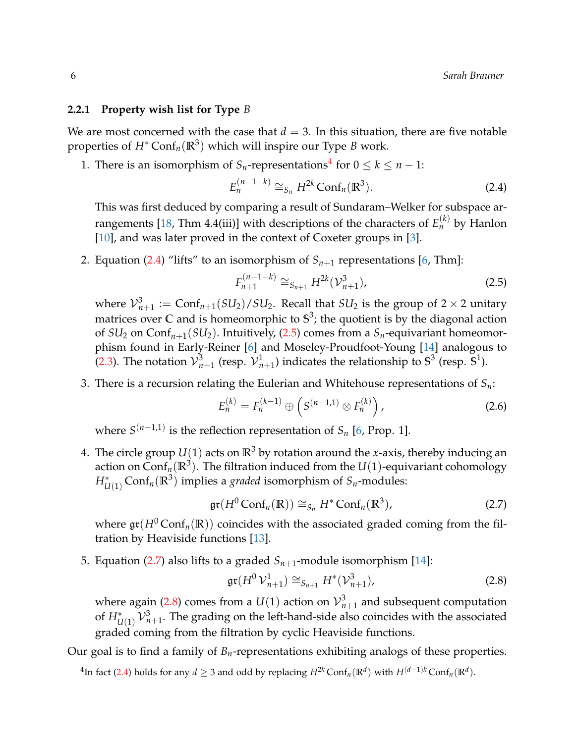#### <span id="page-5-0"></span>**2.2.1 Property wish list for Type** *B*

We are most concerned with the case that  $d = 3$ . In this situation, there are five notable properties of *H*<sup>∗</sup> Conf*n*(**R**<sup>3</sup> ) which will inspire our Type *B* work.

1. There is an isomorphism of  $S_n$ -representations<sup>[4](#page-5-1)</sup> for  $0 \le k \le n - 1$ :

<span id="page-5-2"></span>
$$
E_n^{(n-1-k)} \cong_{S_n} H^{2k} \text{Conf}_n(\mathbb{R}^3). \tag{2.4}
$$

This was first deduced by comparing a result of Sundaram–Welker for subspace ar-rangements [\[18,](#page-11-11) Thm 4.4(iii)] with descriptions of the characters of  $E_n^{(k)}$  by Hanlon [\[10\]](#page-11-10), and was later proved in the context of Coxeter groups in [\[3\]](#page-10-1).

2. Equation [\(2.4\)](#page-5-2) "lifts" to an isomorphism of  $S_{n+1}$  representations [\[6,](#page-10-0) Thm]:

<span id="page-5-3"></span>
$$
F_{n+1}^{(n-1-k)} \cong_{S_{n+1}} H^{2k}(\mathcal{V}_{n+1}^3), \tag{2.5}
$$

where  $\mathcal{V}_{n+1}^3 := \text{Conf}_{n+1}(SU_2)/SU_2$ . Recall that  $SU_2$  is the group of 2  $\times$  2 unitary matrices over **C** and is homeomorphic to **S** 3 ; the quotient is by the diagonal action of  $SU_2$  on  $\text{Conf}_{n+1}(SU_2)$ . Intuitively, [\(2.5\)](#page-5-3) comes from a  $S_n$ -equivariant homeomorphism found in Early-Reiner [\[6\]](#page-10-0) and Moseley-Proudfoot-Young [\[14\]](#page-11-3) analogous to [\(2.3\)](#page-3-2). The notation  $\mathcal{V}_{n+1}^3$  (resp.  $\mathcal{V}_{n+1}^1$ ) indicates the relationship to  $\mathbb{S}^3$  (resp.  $\mathbb{S}^1$ ).

3. There is a recursion relating the Eulerian and Whitehouse representations of *Sn*:

$$
E_n^{(k)} = F_n^{(k-1)} \oplus \left( S^{(n-1,1)} \otimes F_n^{(k)} \right), \tag{2.6}
$$

where *S* (*n*−1,1) is the reflection representation of *S<sup>n</sup>* [\[6,](#page-10-0) Prop. 1].

4. The circle group  $U(1)$  acts on  $\mathbb{R}^3$  by rotation around the *x*-axis, thereby inducing an action on  $\mathsf{Conf}_n(\mathbb{R}^3).$  The filtration induced from the  $U(1)$ -equivariant cohomology  $H^*_{U(1)}$  Conf $_n(\mathbb{R}^3)$  implies a *graded* isomorphism of  $S_n$ -modules:

<span id="page-5-4"></span>
$$
\operatorname{gr}(H^0\operatorname{Conf}_n(\mathbb{R})) \cong_{S_n} H^* \operatorname{Conf}_n(\mathbb{R}^3),\tag{2.7}
$$

where  $\mathfrak{gr}(H^0\text{Conf}_n(\mathbb{R}))$  coincides with the associated graded coming from the filtration by Heaviside functions [\[13\]](#page-11-12).

5. Equation [\(2.7\)](#page-5-4) also lifts to a graded  $S_{n+1}$ -module isomorphism [\[14\]](#page-11-3):

<span id="page-5-5"></span>
$$
\operatorname{gr}(H^0\mathcal{V}_{n+1}^1) \cong_{S_{n+1}} H^*(\mathcal{V}_{n+1}^3),\tag{2.8}
$$

where again [\(2.8\)](#page-5-5) comes from a  $U(1)$  action on  $\mathcal{V}_{n+1}^3$  and subsequent computation of  $H_{U(1)}^* \,{\cal V}^3_{n+1}.$  The grading on the left-hand-side also coincides with the associated graded coming from the filtration by cyclic Heaviside functions.

Our goal is to find a family of  $B<sub>n</sub>$ -representations exhibiting analogs of these properties.

<span id="page-5-1"></span><sup>&</sup>lt;sup>4</sup>In fact [\(2.4\)](#page-5-2) holds for any *d* ≥ 3 and odd by replacing  $H^{2k}$  Conf<sub>*n*</sub>( $\mathbb{R}^d$ ) with  $H^{(d-1)k}$  Conf<sub>*n*</sub>( $\mathbb{R}^d$ ).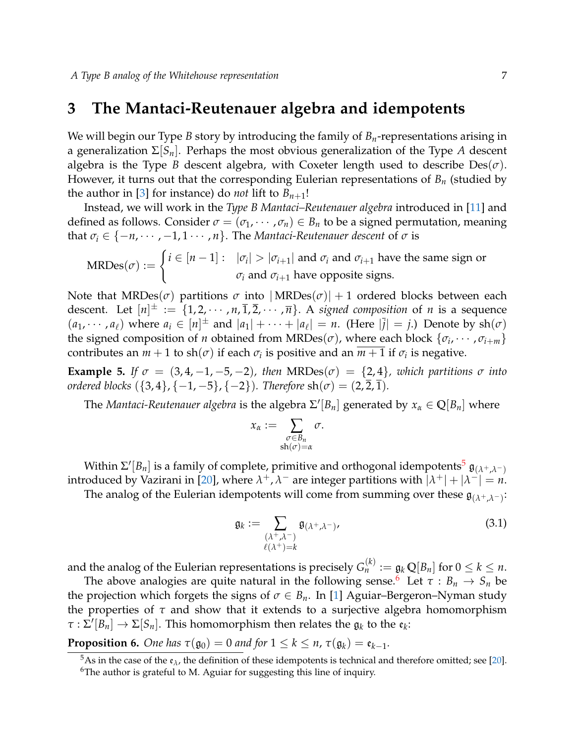### <span id="page-6-0"></span>**3 The Mantaci-Reutenauer algebra and idempotents**

We will begin our Type *B* story by introducing the family of *Bn*-representations arising in a generalization Σ[*Sn*]. Perhaps the most obvious generalization of the Type *A* descent algebra is the Type *B* descent algebra, with Coxeter length used to describe  $Des(\sigma)$ . However, it turns out that the corresponding Eulerian representations of *B<sup>n</sup>* (studied by the author in [\[3\]](#page-10-1) for instance) do *not* lift to  $B_{n+1}!$ 

Instead, we will work in the *Type B Mantaci–Reutenauer algebra* introduced in [\[11\]](#page-11-13) and defined as follows. Consider  $\sigma = (\sigma_1, \cdots, \sigma_n) \in B_n$  to be a signed permutation, meaning that  $\sigma_i \in \{-n, \dots, -1, 1, \dots, n\}$ . The *Mantaci-Reutenauer descent* of  $\sigma$  is

MRDes(
$$
\sigma
$$
) := 
$$
\begin{cases} i \in [n-1]: & |\sigma_i| > |\sigma_{i+1}| \text{ and } \sigma_i \text{ and } \sigma_{i+1} \text{ have the same sign or} \\ & \sigma_i \text{ and } \sigma_{i+1} \text{ have opposite signs.} \end{cases}
$$

Note that  $MRDes(\sigma)$  partitions  $\sigma$  into  $|MRDes(\sigma)| + 1$  ordered blocks between each descent. Let  $[n]^{\pm} := \{1, 2, \cdots, n, \overline{1}, \overline{2}, \cdots, \overline{n}\}.$  A *signed composition* of *n* is a sequence  $(a_1, \dots, a_\ell)$  where  $a_i \in [n]^{\pm}$  and  $|a_1| + \dots + |a_\ell| = n$ . (Here  $|\overline{j}| = j$ .) Denote by sh $(\sigma)$ the signed composition of *n* obtained from  $MRDes(\sigma)$ , where each block  $\{\sigma_i, \cdots, \sigma_{i+m}\}$ contributes an  $m + 1$  to sh $(\sigma)$  if each  $\sigma_i$  is positive and an  $\overline{m+1}$  if  $\sigma_i$  is negative.

**Example 5.** If  $\sigma = (3, 4, -1, -5, -2)$ , then  $MRDes(\sigma) = \{2, 4\}$ , which partitions  $\sigma$  into *ordered blocks*  $({3, 4}, {-1, -5}, {-2})$ *. Therefore*  $\text{sh}(\sigma) = (2, 2, 1)$ *.* 

The *Mantaci-Reutenauer algebra* is the algebra  $\Sigma' [B_n]$  generated by  $x_\alpha \in \mathbb{Q}[B_n]$  where

$$
x_\alpha := \sum_{\substack{\sigma \in B_n \\ \sh(\sigma) = \alpha}} \sigma.
$$

Within Σ'[ $B_n$ ] is a family of complete, primitive and orthogonal idempotents<sup>[5](#page-6-1)</sup>  $\mathfrak{g}_{(\lambda^+, \lambda^-)}$ introduced by Vazirani in [\[20\]](#page-11-5), where  $\lambda^+$ ,  $\lambda^-$  are integer partitions with  $|\lambda^+|+|\lambda^-| = n$ .

The analog of the Eulerian idempotents will come from summing over these  $\mathfrak{g}_{(\lambda^+, \lambda^-)}$ :

$$
\mathfrak{g}_k := \sum_{\substack{(\lambda^+, \lambda^-) \\ \ell(\lambda^+) = k}} \mathfrak{g}_{(\lambda^+, \lambda^-)}.
$$
\n(3.1)

and the analog of the Eulerian representations is precisely  $G_n^{(k)} := \mathfrak{g}_k\,\mathbb{Q}[B_n]$  for  $0 \leq k \leq n.$ 

The above analogies are quite natural in the following sense.<sup>[6](#page-6-2)</sup> Let  $\tau : B_n \to S_n$  be the projection which forgets the signs of  $\sigma \in B_n$ . In [\[1\]](#page-10-3) Aguiar–Bergeron–Nyman study the properties of  $\tau$  and show that it extends to a surjective algebra homomorphism  $\tau : \Sigma' [B_n] \to \Sigma [S_n]$ . This homomorphism then relates the  $\mathfrak{g}_k$  to the  $\mathfrak{e}_k$ :

**Proposition 6.** One has  $\tau(\mathfrak{g}_0) = 0$  and for  $1 \leq k \leq n$ ,  $\tau(\mathfrak{g}_k) = \mathfrak{e}_{k-1}$ .

<span id="page-6-1"></span><sup>&</sup>lt;sup>5</sup>As in the case of the  $\mathfrak{e}_{\lambda}$ , the definition of these idempotents is technical and therefore omitted; see [\[20\]](#page-11-5).

<span id="page-6-2"></span><sup>&</sup>lt;sup>6</sup>The author is grateful to M. Aguiar for suggesting this line of inquiry.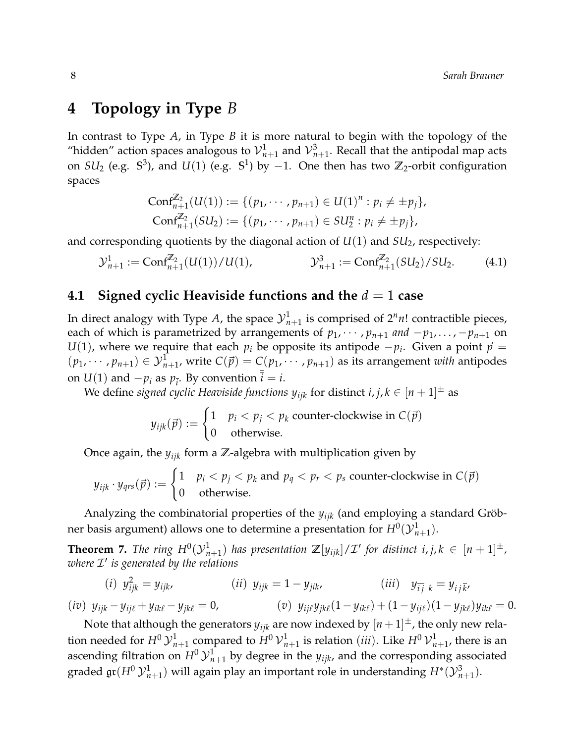# <span id="page-7-1"></span>**4 Topology in Type** *B*

In contrast to Type *A*, in Type *B* it is more natural to begin with the topology of the "hidden" action spaces analogous to  ${\cal V}^1_{n+1}$  and  ${\cal V}^3_{n+1}$ . Recall that the antipodal map acts on  $SU_2$  (e.g.  $\mathbb{S}^3$ ), and  $U(1)$  (e.g.  $\mathbb{S}^1$ ) by  $-1$ . One then has two  $\mathbb{Z}_2$ -orbit configuration spaces

<span id="page-7-0"></span>
$$
Conf_{n+1}^{\mathbb{Z}_2}(U(1)) := \{ (p_1, \cdots, p_{n+1}) \in U(1)^n : p_i \neq \pm p_j \},
$$
  
\n
$$
Conf_{n+1}^{\mathbb{Z}_2}(SU_2) := \{ (p_1, \cdots, p_{n+1}) \in SU_2^n : p_i \neq \pm p_j \},
$$

and corresponding quotients by the diagonal action of *U*(1) and *SU*2, respectively:

$$
\mathcal{Y}_{n+1}^1 := \text{Conf}_{n+1}^{\mathbb{Z}_2}(U(1))/U(1), \qquad \qquad \mathcal{Y}_{n+1}^3 := \text{Conf}_{n+1}^{\mathbb{Z}_2}(SU_2)/SU_2. \tag{4.1}
$$

#### **4.1 Signed cyclic Heaviside functions and the** *d* = 1 **case**

In direct analogy with Type A, the space  $\mathcal{Y}_{n+1}^1$  is comprised of  $2^n n!$  contractible pieces, each of which is parametrized by arrangements of  $p_1, \dots, p_{n+1}$  and  $-p_1, \dots, -p_{n+1}$  on *U*(1), where we require that each  $p_i$  be opposite its antipode  $-p_i$ . Given a point  $\vec{p}$  =  $(p_1, \dots, p_{n+1}) \in \mathcal{Y}_{n+1}^1$ , write  $C(\vec{p}) = C(p_1, \dots, p_{n+1})$  as its arrangement *with* antipodes on  $U(1)$  and  $-p_i$  as  $p_{\overline{i}}$ . By convention  $\overline{i} = i$ .

We define *signed cyclic Heaviside functions*  $y_{ijk}$  *for distinct*  $i, j, k \in [n+1]^{\pm}$  *as* 

$$
y_{ijk}(\vec{p}) := \begin{cases} 1 & p_i < p_j < p_k \text{ counter-clockwise in } C(\vec{p}) \\ 0 & \text{otherwise.} \end{cases}
$$

Once again, the *yijk* form a **Z**-algebra with multiplication given by

$$
y_{ijk} \cdot y_{qrs}(\vec{p}) := \begin{cases} 1 & p_i < p_j < p_k \text{ and } p_q < p_r < p_s \text{ counter-clockwise in } C(\vec{p}) \\ 0 & \text{otherwise.} \end{cases}
$$

Analyzing the combinatorial properties of the *yijk* (and employing a standard Gröbner basis argument) allows one to determine a presentation for  $H^0(\mathcal{Y}^1_{n+1}).$ 

<span id="page-7-2"></span>**Theorem 7.** The ring  $H^0(\mathcal{Y}_{n+1}^1)$  has presentation  $\mathbb{Z}[y_{ijk}]/\mathcal{I}'$  for distinct  $i, j, k \in [n+1]^{\pm}$ , *where* I 0 *is generated by the relations*

$$
(i) \ \ y_{ijk}^2 = y_{ijk}, \qquad (ii) \ \ y_{ijk} = 1 - y_{jik}, \qquad (iii) \ \ y_{\bar{i}j} \ \ k = y_{ij}\bar{k},
$$

$$
(iv) \ \ y_{ijk} - y_{ij\ell} + y_{ik\ell} - y_{jk\ell} = 0, \qquad (v) \ \ y_{ij\ell}y_{jk\ell}(1 - y_{ik\ell}) + (1 - y_{ij\ell})(1 - y_{jk\ell})y_{ik\ell} = 0.
$$

Note that although the generators  $y_{ijk}$  are now indexed by  $[n+1]^\pm$ , the only new relation needed for  $H^0\mathcal{Y}^1_{n+1}$  compared to  $H^0\mathcal{V}^1_{n+1}$  is relation (*iii*). Like  $H^0\mathcal{V}^1_{n+1}$ , there is an ascending filtration on  $H^0 {\cal Y}^1_{n+1}$  by degree in the  $y_{ijk}$ , and the corresponding associated graded  $\mathfrak{gr}(H^0\,{\mathcal Y}^1_{n+1})$  will again play an important role in understanding  $H^*(\mathcal{Y}^3_{n+1}).$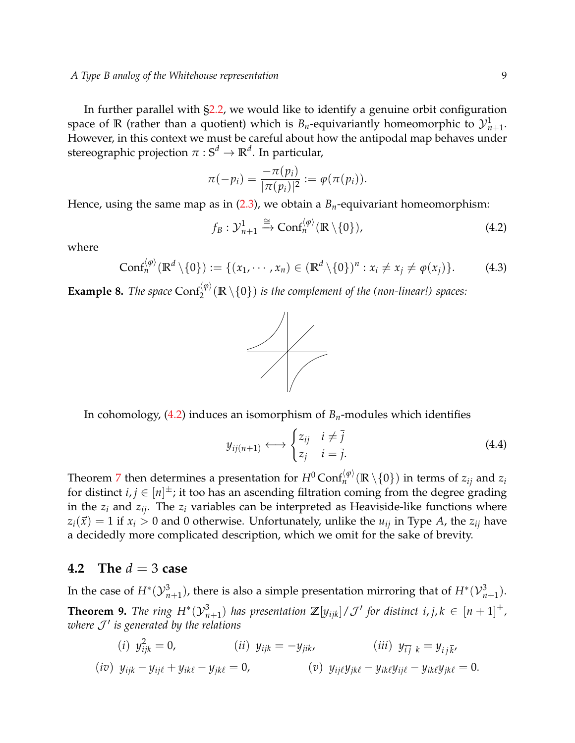In further parallel with  $\S 2.2$ , we would like to identify a genuine orbit configuration space of  $\mathbb R$  (rather than a quotient) which is  $B_n$ -equivariantly homeomorphic to  ${\cal Y}^1_{n+1}.$ However, in this context we must be careful about how the antipodal map behaves under  $\mathsf{s}$ tereographic projection  $\pi:\mathbb{S}^d\to\mathbb{R}^d.$  In particular,

$$
\pi(-p_i) = \frac{-\pi(p_i)}{|\pi(p_i)|^2} := \varphi(\pi(p_i)).
$$

Hence, using the same map as in [\(2.3\)](#page-3-2), we obtain a *Bn*-equivariant homeomorphism:

$$
f_B: \mathcal{Y}_{n+1}^1 \xrightarrow{\cong} \text{Conf}_n^{\langle \varphi \rangle}(\mathbb{R} \setminus \{0\}), \tag{4.2}
$$

where

<span id="page-8-0"></span>
$$
\text{Conf}_n^{\langle \varphi \rangle}(\mathbb{R}^d \setminus \{0\}) := \{ (x_1, \cdots, x_n) \in (\mathbb{R}^d \setminus \{0\})^n : x_i \neq x_j \neq \varphi(x_j) \}. \tag{4.3}
$$

**Example 8.** *The space*  $Conf_2^{\langle \varphi \rangle}(\mathbb{R} \setminus \{0\})$  *is the complement of the (non-linear!) spaces:* 

<span id="page-8-3"></span><span id="page-8-1"></span>

In cohomology, [\(4.2\)](#page-8-1) induces an isomorphism of *Bn*-modules which identifies

$$
y_{ij(n+1)} \longleftrightarrow \begin{cases} z_{ij} & i \neq \overline{j} \\ z_j & i = \overline{j} . \end{cases}
$$
 (4.4)

Theorem [7](#page-7-2) then determines a presentation for  $H^0$  Conf $_n^{(\phi)}(\mathbb{R} \setminus \{0\})$  in terms of  $z_{ij}$  and  $z_i$ for distinct  $i, j \in [n]^{\pm}$ ; it too has an ascending filtration coming from the degree grading in the  $z_i$  and  $z_{ij}$ . The  $z_i$  variables can be interpreted as Heaviside-like functions where  $z_i(\vec{x}) = 1$  if  $x_i > 0$  and 0 otherwise. Unfortunately, unlike the  $u_{ij}$  in Type *A*, the  $z_{ij}$  have a decidedly more complicated description, which we omit for the sake of brevity.

#### **4.2 The** *d* = 3 **case**

<span id="page-8-2"></span>In the case of  $H^*(\mathcal{Y}_{n+1}^3)$ , there is also a simple presentation mirroring that of  $H^*(\mathcal{V}_{n+1}^3)$ . **Theorem 9.** The ring  $H^*(\mathcal{Y}_{n+1}^3)$  has presentation  $\mathbb{Z}[y_{ijk}]/\mathcal{J}'$  for distinct i, j,  $k \in [n+1]^{\pm}$ , *where* J 0 *is generated by the relations*

(*i*) 
$$
y_{ijk}^2 = 0
$$
, (*ii*)  $y_{ijk} = -y_{jik}$ , (*iii*)  $y_{\bar{i}j}{}_{k} = y_{ij}\bar{k}$ ,  
\n(*iv*)  $y_{ijk} - y_{ij\ell} + y_{ik\ell} - y_{jk\ell} = 0$ , (*v*)  $y_{ij\ell}y_{jk\ell} - y_{ik\ell}y_{ij\ell} - y_{ik\ell}y_{jk\ell} = 0$ .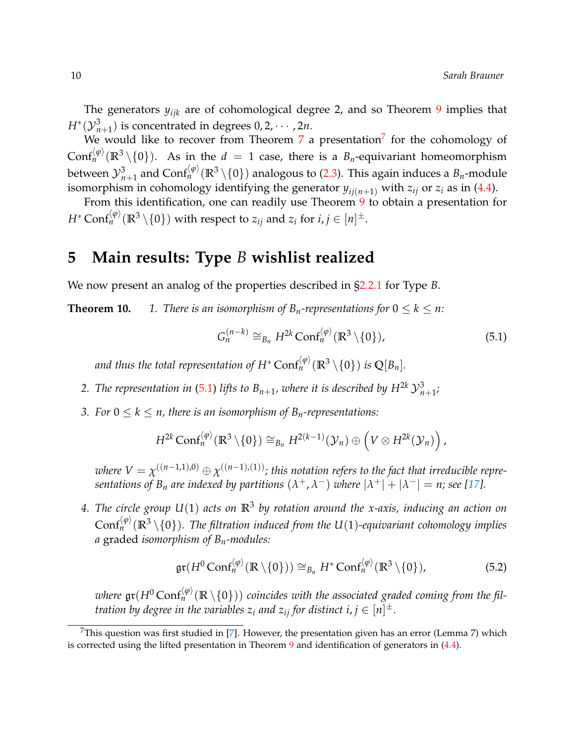The generators *yijk* are of cohomological degree 2, and so Theorem [9](#page-8-2) implies that  $H^*(\mathcal{Y}_{n+1}^3)$  is concentrated in degrees  $0, 2, \cdots, 2n$ .

We would like to recover from Theorem  $7$  a presentation $^7$  for the cohomology of  $\text{Conf}_n^{\langle \phi \rangle}(\mathbb{R}^3 \setminus \{0\})$ . As in the  $d = 1$  case, there is a  $B_n$ -equivariant homeomorphism between  ${\cal Y}_{n+1}^3$  and  $\text{Conf}_n^{(\phi)}(\mathbb{R}^3\setminus\{0\})$  analogous to [\(2.3\)](#page-3-2). This again induces a  $B_n$ -module isomorphism in cohomology identifying the generator  $y_{ii(n+1)}$  with  $z_{ij}$  or  $z_i$  as in [\(4.4\)](#page-8-3).

From this identification, one can readily use Theorem [9](#page-8-2) to obtain a presentation for  $H^* \, \text{Conf}_n^{\langle \phi \rangle}(\mathbb{R}^3 \setminus \{0\})$  with respect to  $z_{ij}$  and  $z_i$  for  $i,j \in [n]^\pm.$ 

### <span id="page-9-0"></span>**5 Main results: Type** *B* **wishlist realized**

We now present an analog of the properties described in [§2.2.1](#page-5-0) for Type *B*.

**Theorem 10.** *1. There is an isomorphism of*  $B_n$ *-representations for*  $0 \le k \le n$ :

<span id="page-9-2"></span>
$$
G_n^{(n-k)} \cong_{B_n} H^{2k} \text{Conf}_n^{\langle \varphi \rangle}(\mathbb{R}^3 \setminus \{0\}), \tag{5.1}
$$

and thus the total representation of  $H^*$  Con $\mathsf{f}_n^{\langle \phi \rangle}(\mathbb{R}^3 \setminus \{0\})$  is  $\mathbb{Q}[B_n].$ 

- 2. *The representation in* [\(5.1\)](#page-9-2) *lifts to*  $B_{n+1}$ *, where it is described by*  $H^{2k} \mathcal{Y}_{n+1}^3$ *;*
- *3. For*  $0 \leq k \leq n$ , there is an isomorphism of  $B_n$ -representations:

$$
H^{2k}\text{Conf}_n^{\langle\varphi\rangle}(\mathbb{R}^3\setminus\{0\})\cong_{B_n} H^{2(k-1)}(\mathcal{Y}_n)\oplus \left(V\otimes H^{2k}(\mathcal{Y}_n)\right),
$$

 $\omega$ here  $V=\chi^{((n-1,1),0)}\oplus \chi^{((n-1),(1))}$ ; this notation refers to the fact that irreducible repre*sentations of*  $B_n$  *are indexed by partitions*  $(\lambda^+, \lambda^-)$  *where*  $|\lambda^+| + |\lambda^-| = n$ *; see [\[17\]](#page-11-14).* 

*4. The circle group U*(1) *acts on* **R**<sup>3</sup> *by rotation around the x-axis, inducing an action on*  $\text{Conf}_n^{\langle \phi \rangle}(\mathbb{R}^3 \setminus \{0\})$ . The filtration induced from the U(1)-equivariant cohomology implies *a* graded *isomorphism of Bn-modules:*

<span id="page-9-3"></span>
$$
\operatorname{gr}(H^0\operatorname{Conf}_n^{\langle\varphi\rangle}(\mathbb{R}\setminus\{0\}))\cong_{B_n}H^*\operatorname{Conf}_n^{\langle\varphi\rangle}(\mathbb{R}^3\setminus\{0\}),\tag{5.2}
$$

where  $\mathfrak{gr}(H^0\text{Conf}_n^{\langle\varphi\rangle}(\mathbb{R}\setminus\{0\}))$  coincides with the associated graded coming from the fil*tration by degree in the variables*  $z_i$  *and*  $z_{ij}$  *for distinct*  $i, j \in [n]^{\pm}.$ 

<span id="page-9-1"></span><sup>&</sup>lt;sup>7</sup>This question was first studied in [\[7\]](#page-11-6). However, the presentation given has an error (Lemma 7) which is corrected using the lifted presentation in Theorem [9](#page-8-2) and identification of generators in [\(4.4\)](#page-8-3).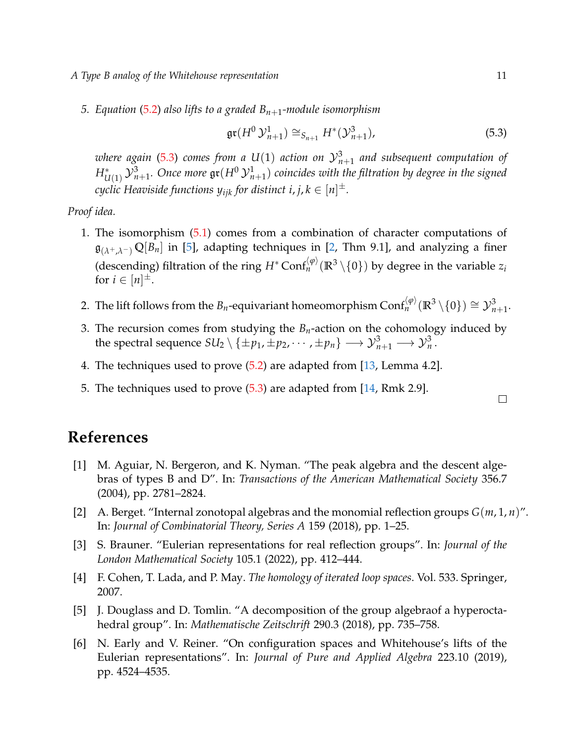- *A Type B analog of the Whitehouse representation* 11
	- *5. Equation* [\(5.2\)](#page-9-3) *also lifts to a graded Bn*+1*-module isomorphism*

<span id="page-10-4"></span>
$$
\operatorname{gr}(H^0 \mathcal{Y}_{n+1}^1) \cong_{S_{n+1}} H^*(\mathcal{Y}_{n+1}^3), \tag{5.3}
$$

where again [\(5.3\)](#page-10-4) comes from a  $U(1)$  action on  ${\cal Y}_{n+1}^3$  and subsequent computation of  $H^*_{U(1)}\, {\cal Y}^3_{n+1}.$  Once more  $\mathfrak{gr}(H^0\, {\cal Y}^1_{n+1})$  coincides with the filtration by degree in the signed  $c$ yclic Heaviside functions  $y_{ijk}$  for distinct i, j,  $k \in [n]^{\pm}$ .

*Proof idea.*

- 1. The isomorphism [\(5.1\)](#page-9-2) comes from a combination of character computations of  $\mathfrak{g}_{(\lambda^+, \lambda^-)} \mathbb{Q}[B_n]$  in [\[5\]](#page-10-5), adapting techniques in [\[2,](#page-10-6) Thm 9.1], and analyzing a finer (descending) filtration of the ring  $H^* \text{Conf}_n^{\langle \phi \rangle}(\mathbb{R}^3 \setminus \{0\})$  by degree in the variable  $z_i$ for  $i \in [n]^{\pm}$ .
- 2. The lift follows from the  $B_n$ -equivariant homeomorphism  $\text{Conf}_n^{\langle \phi \rangle}(\mathbb{R}^3\setminus\{0\}) \cong \mathcal{Y}_{n+1}^3$ .
- 3. The recursion comes from studying the  $B<sub>n</sub>$ -action on the cohomology induced by the spectral sequence  $SU_2\setminus\{\pm p_1,\pm p_2,\cdots,\pm p_n\}\longrightarrow {\mathcal Y}_{n+1}^3\longrightarrow {\mathcal Y}_n^3$  .
- 4. The techniques used to prove [\(5.2\)](#page-9-3) are adapted from [\[13,](#page-11-12) Lemma 4.2].
- 5. The techniques used to prove [\(5.3\)](#page-10-4) are adapted from [\[14,](#page-11-3) Rmk 2.9].

# **References**

- <span id="page-10-3"></span>[1] M. Aguiar, N. Bergeron, and K. Nyman. "The peak algebra and the descent algebras of types B and D". In: *Transactions of the American Mathematical Society* 356.7 (2004), pp. 2781–2824.
- <span id="page-10-6"></span>[2] A. Berget. "Internal zonotopal algebras and the monomial reflection groups *G*(*m*, 1, *n*)". In: *Journal of Combinatorial Theory, Series A* 159 (2018), pp. 1–25.
- <span id="page-10-1"></span>[3] S. Brauner. "Eulerian representations for real reflection groups". In: *Journal of the London Mathematical Society* 105.1 (2022), pp. 412–444.
- <span id="page-10-2"></span>[4] F. Cohen, T. Lada, and P. May. *The homology of iterated loop spaces*. Vol. 533. Springer, 2007.
- <span id="page-10-5"></span>[5] J. Douglass and D. Tomlin. "A decomposition of the group algebraof a hyperoctahedral group". In: *Mathematische Zeitschrift* 290.3 (2018), pp. 735–758.
- <span id="page-10-0"></span>[6] N. Early and V. Reiner. "On configuration spaces and Whitehouse's lifts of the Eulerian representations". In: *Journal of Pure and Applied Algebra* 223.10 (2019), pp. 4524–4535.

 $\Box$